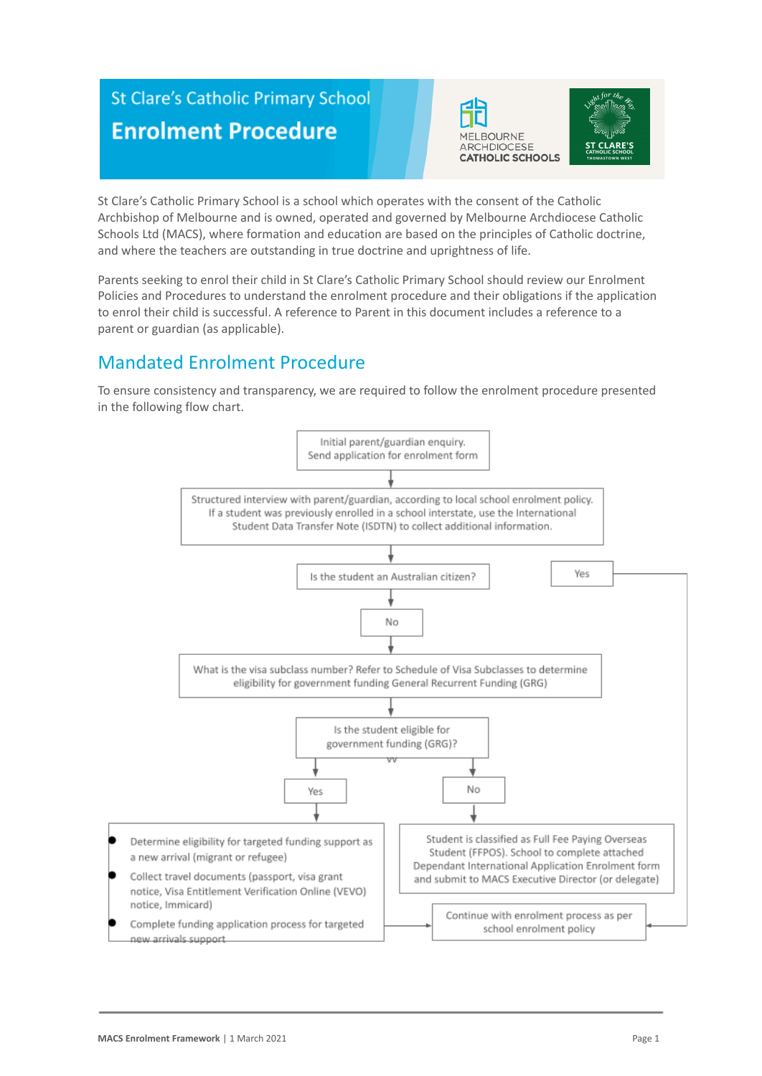# **St Clare's Catholic Primary School Enrolment Procedure**





St Clare's Catholic Primary School is a school which operates with the consent of the Catholic Archbishop of Melbourne and is owned, operated and governed by Melbourne Archdiocese Catholic Schools Ltd (MACS), where formation and education are based on the principles of Catholic doctrine, and where the teachers are outstanding in true doctrine and uprightness of life.

Parents seeking to enrol their child in St Clare's Catholic Primary School should review our Enrolment Policies and Procedures to understand the enrolment procedure and their obligations if the application to enrol their child is successful. A reference to Parent in this document includes a reference to a parent or guardian (as applicable).

# Mandated Enrolment Procedure

To ensure consistency and transparency, we are required to follow the enrolment procedure presented in the following flow chart.

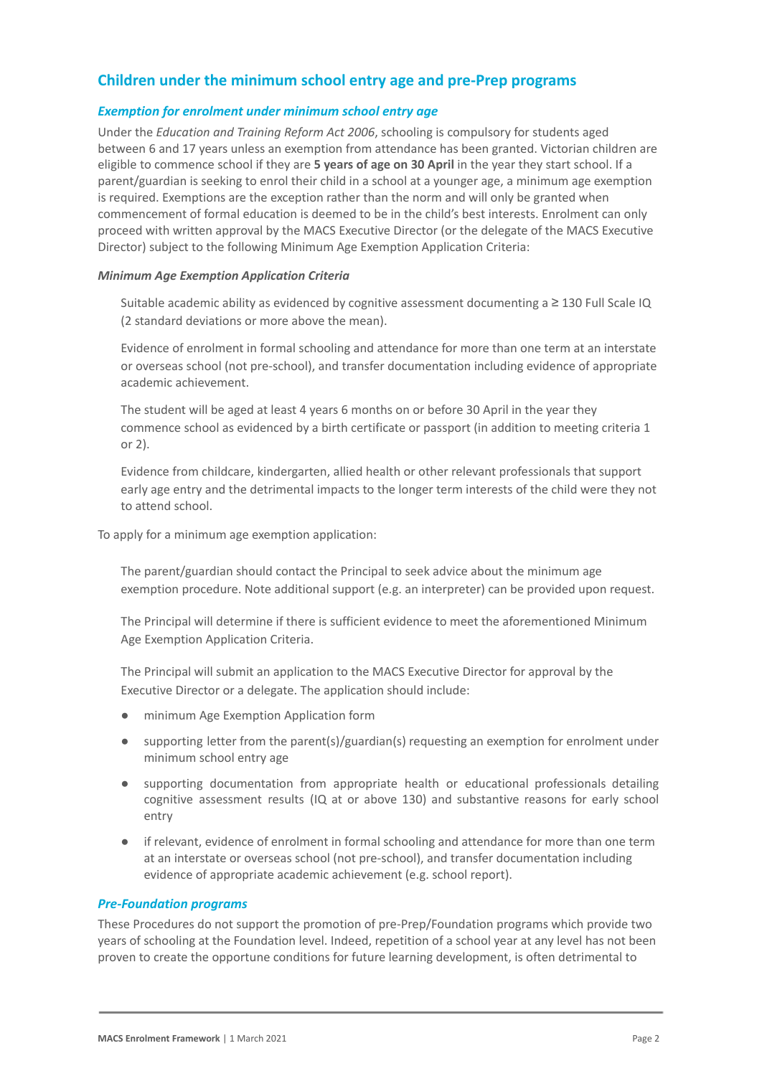# **Children under the minimum school entry age and pre-Prep programs**

#### *Exemption for enrolment under minimum school entry age*

Under the *Education and Training Reform Act 2006*, schooling is compulsory for students aged between 6 and 17 years unless an exemption from attendance has been granted. Victorian children are eligible to commence school if they are **5 years of age on 30 April** in the year they start school. If a parent/guardian is seeking to enrol their child in a school at a younger age, a minimum age exemption is required. Exemptions are the exception rather than the norm and will only be granted when commencement of formal education is deemed to be in the child's best interests. Enrolment can only proceed with written approval by the MACS Executive Director (or the delegate of the MACS Executive Director) subject to the following Minimum Age Exemption Application Criteria:

#### *Minimum Age Exemption Application Criteria*

Suitable academic ability as evidenced by cognitive assessment documenting a  $\geq$  130 Full Scale IQ (2 standard deviations or more above the mean).

Evidence of enrolment in formal schooling and attendance for more than one term at an interstate or overseas school (not pre-school), and transfer documentation including evidence of appropriate academic achievement.

The student will be aged at least 4 years 6 months on or before 30 April in the year they commence school as evidenced by a birth certificate or passport (in addition to meeting criteria 1 or 2).

4. Evidence from childcare, kindergarten, allied health or other relevant professionals that support early age entry and the detrimental impacts to the longer term interests of the child were they not to attend school.

To apply for a minimum age exemption application:

The parent/guardian should contact the Principal to seek advice about the minimum age exemption procedure. Note additional support (e.g. an interpreter) can be provided upon request.

2. The Principal will determine if there is sufficient evidence to meet the aforementioned Minimum Age Exemption Application Criteria.

The Principal will submit an application to the MACS Executive Director for approval by the Executive Director or a delegate. The application should include:

- minimum Age Exemption Application form
- supporting letter from the parent(s)/guardian(s) requesting an exemption for enrolment under minimum school entry age
- supporting documentation from appropriate health or educational professionals detailing cognitive assessment results (IQ at or above 130) and substantive reasons for early school entry
- if relevant, evidence of enrolment in formal schooling and attendance for more than one term at an interstate or overseas school (not pre-school), and transfer documentation including evidence of appropriate academic achievement (e.g. school report).

#### *Pre-Foundation programs*

These Procedures do not support the promotion of pre-Prep/Foundation programs which provide two years of schooling at the Foundation level. Indeed, repetition of a school year at any level has not been proven to create the opportune conditions for future learning development, is often detrimental to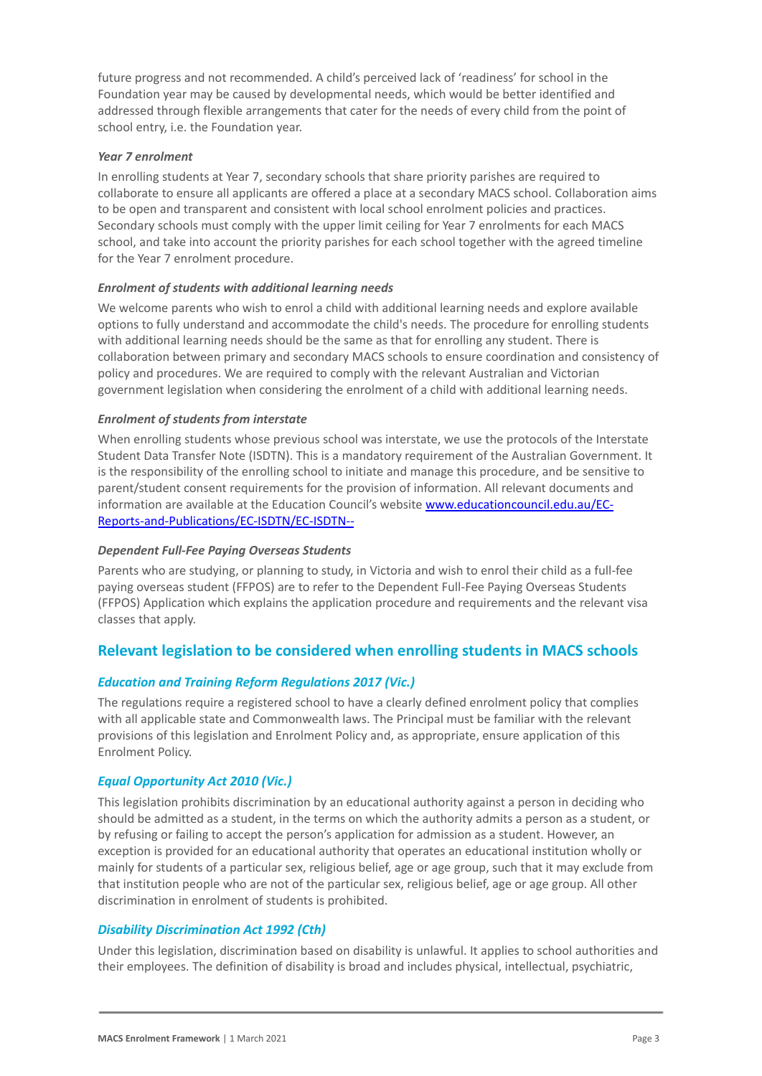future progress and not recommended. A child's perceived lack of 'readiness' for school in the Foundation year may be caused by developmental needs, which would be better identified and addressed through flexible arrangements that cater for the needs of every child from the point of school entry, i.e. the Foundation year.

#### *Year 7 enrolment*

In enrolling students at Year 7, secondary schools that share priority parishes are required to collaborate to ensure all applicants are offered a place at a secondary MACS school. Collaboration aims to be open and transparent and consistent with local school enrolment policies and practices. Secondary schools must comply with the upper limit ceiling for Year 7 enrolments for each MACS school, and take into account the priority parishes for each school together with the agreed timeline for the Year 7 enrolment procedure.

#### *Enrolment of students with additional learning needs*

We welcome parents who wish to enrol a child with additional learning needs and explore available options to fully understand and accommodate the child's needs. The procedure for enrolling students with additional learning needs should be the same as that for enrolling any student. There is collaboration between primary and secondary MACS schools to ensure coordination and consistency of policy and procedures. We are required to comply with the relevant Australian and Victorian government legislation when considering the enrolment of a child with additional learning needs.

#### *Enrolment of students from interstate*

When enrolling students whose previous school was interstate, we use the protocols of the Interstate Student Data Transfer Note (ISDTN). This is a mandatory requirement of the Australian Government. It is the responsibility of the enrolling school to initiate and manage this procedure, and be sensitive to parent/student consent requirements for the provision of information. All relevant documents and information are available at the Education Council's website [www.educationcouncil.edu.au/EC-](http://www.educationcouncil.edu.au/EC-Reports-and-Publications/EC-ISDTN/EC-ISDTN---Non-Gov-Schools.aspx)[Reports-and-Publications/EC-ISDTN/EC-ISDTN--](http://www.educationcouncil.edu.au/EC-Reports-and-Publications/EC-ISDTN/EC-ISDTN---Non-Gov-Schools.aspx)

#### *Dependent Full-Fee Paying Overseas Students*

Parents who are studying, or planning to study, in Victoria and wish to enrol their child as a full-fee paying overseas student (FFPOS) are to refer to the Dependent Full-Fee Paying Overseas Students (FFPOS) Application which explains the application procedure and requirements and the relevant visa classes that apply.

## **Relevant legislation to be considered when enrolling students in MACS schools**

#### *Education and Training Reform Regulations 2017 (Vic.)*

The regulations require a registered school to have a clearly defined enrolment policy that complies with all applicable state and Commonwealth laws. The Principal must be familiar with the relevant provisions of this legislation and Enrolment Policy and, as appropriate, ensure application of this Enrolment Policy.

#### *Equal Opportunity Act 2010 (Vic.)*

This legislation prohibits discrimination by an educational authority against a person in deciding who should be admitted as a student, in the terms on which the authority admits a person as a student, or by refusing or failing to accept the person's application for admission as a student. However, an exception is provided for an educational authority that operates an educational institution wholly or mainly for students of a particular sex, religious belief, age or age group, such that it may exclude from that institution people who are not of the particular sex, religious belief, age or age group. All other discrimination in enrolment of students is prohibited.

#### *Disability Discrimination Act 1992 (Cth)*

Under this legislation, discrimination based on disability is unlawful. It applies to school authorities and their employees. The definition of disability is broad and includes physical, intellectual, psychiatric,